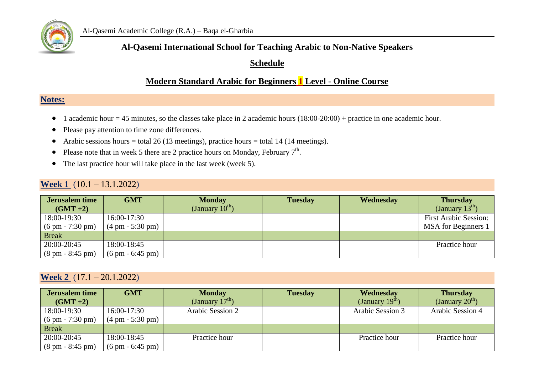

### **Al-Qasemi International School for Teaching Arabic to Non-Native Speakers**

#### **Schedule**

## **Modern Standard Arabic for Beginners 1 Level - Online Course**

### **Notes:**

- 1 academic hour = 45 minutes, so the classes take place in 2 academic hours  $(18:00-20:00)$  + practice in one academic hour.
- Please pay attention to time zone differences.
- Arabic sessions hours = total 26 (13 meetings), practice hours = total 14 (14 meetings).
- Please note that in week 5 there are 2 practice hours on Monday, February  $7<sup>th</sup>$ .
- The last practice hour will take place in the last week (week 5).

#### **Week 1** (10.1 – 13.1.2022)

| <b>Jerusalem time</b><br>$(GMT + 2)$ | <b>GMT</b>                         | <b>Monday</b><br>(January $10^{\text{th}}$ ) | <b>Tuesday</b> | Wednesday | <b>Thursday</b><br>(January $13^{\text{m}}$ ) |
|--------------------------------------|------------------------------------|----------------------------------------------|----------------|-----------|-----------------------------------------------|
| 18:00-19:30                          | 16:00-17:30                        |                                              |                |           | <b>First Arabic Session:</b>                  |
| $(6 \text{ pm} - 7:30 \text{ pm})$   | $(4 \text{ pm} - 5:30 \text{ pm})$ |                                              |                |           | MSA for Beginners 1                           |
| <b>Break</b>                         |                                    |                                              |                |           |                                               |
| 20:00-20:45                          | 18:00-18:45                        |                                              |                |           | Practice hour                                 |
| $(8 \text{ pm} - 8:45 \text{ pm})$   | $(6 \text{ pm} - 6:45 \text{ pm})$ |                                              |                |           |                                               |

#### **Week 2** (17.1 – 20.1.2022)

| <b>Jerusalem time</b><br>$(GMT+2)$ | <b>GMT</b>                         | <b>Monday</b><br>(January $17th$ ) | <b>Tuesday</b> | Wednesdav<br>(January 19 $\rm^{in}$ ) | <b>Thursday</b><br>(January $20^{\text{th}}$ ) |
|------------------------------------|------------------------------------|------------------------------------|----------------|---------------------------------------|------------------------------------------------|
| 18:00-19:30                        | 16:00-17:30                        | Arabic Session 2                   |                | Arabic Session 3                      | Arabic Session 4                               |
| $(6 \text{ pm} - 7:30 \text{ pm})$ | $(4 \text{ pm} - 5:30 \text{ pm})$ |                                    |                |                                       |                                                |
| <b>Break</b>                       |                                    |                                    |                |                                       |                                                |
| 20:00-20:45                        | 18:00-18:45                        | Practice hour                      |                | Practice hour                         | Practice hour                                  |
| $(8 \text{ pm} - 8:45 \text{ pm})$ | $(6 \text{ pm} - 6:45 \text{ pm})$ |                                    |                |                                       |                                                |